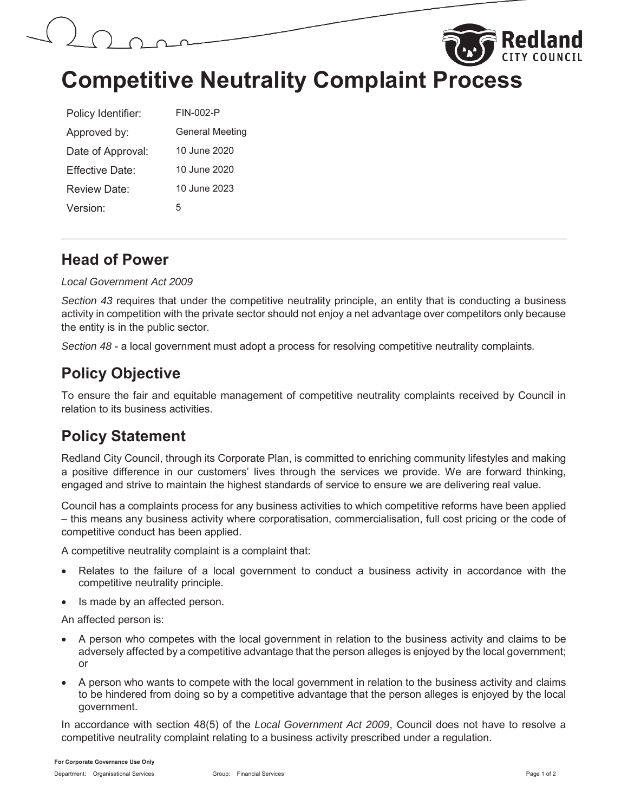



# **Competitive Neutrality Complaint Process**

| Policy Identifier: | FIN-002-P              |
|--------------------|------------------------|
| Approved by:       | <b>General Meeting</b> |
| Date of Approval:  | 10 June 2020           |
| Fffective Date:    | 10 June 2020           |
| Review Date:       | 10 June 2023           |
| Version:           | 5                      |

### **Head of Power**

#### *Local Government Act 2009*

*Section 43* requires that under the competitive neutrality principle, an entity that is conducting a business activity in competition with the private sector should not enjoy a net advantage over competitors only because the entity is in the public sector.

*Section 48* - a local government must adopt a process for resolving competitive neutrality complaints*.*

# **Policy Objective**

To ensure the fair and equitable management of competitive neutrality complaints received by Council in relation to its business activities.

### **Policy Statement**

Redland City Council, through its Corporate Plan, is committed to enriching community lifestyles and making a positive difference in our customers' lives through the services we provide. We are forward thinking, engaged and strive to maintain the highest standards of service to ensure we are delivering real value.

Council has a complaints process for any business activities to which competitive reforms have been applied – this means any business activity where corporatisation, commercialisation, full cost pricing or the code of competitive conduct has been applied.

A competitive neutrality complaint is a complaint that:

- Relates to the failure of a local government to conduct a business activity in accordance with the competitive neutrality principle.
- Is made by an affected person.

An affected person is:

- x A person who competes with the local government in relation to the business activity and claims to be adversely affected by a competitive advantage that the person alleges is enjoyed by the local government; or
- A person who wants to compete with the local government in relation to the business activity and claims to be hindered from doing so by a competitive advantage that the person alleges is enjoyed by the local government.

In accordance with section 48(5) of the *Local Government Act 2009*, Council does not have to resolve a competitive neutrality complaint relating to a business activity prescribed under a regulation.